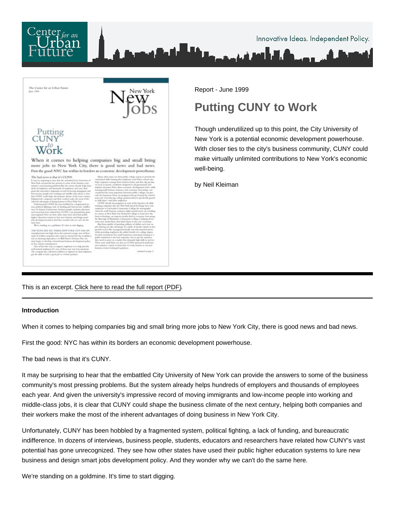Report - June 1999

## Putting CUNY to Work

Though underutilized up to this point, the City University of New York is a potential economic development powerhouse. With closer ties to the city's business community, CUNY could make virtually unlimited contributions to New York's economic well-being.

by Neil Kleiman

This is an excerpt. [Click here to read the full report \(PDF\).](http://nycfuture.org/pdf/Putting_CUNY_To_Work.pdf)

Introduction

When it comes to helping companies big and small bring more jobs to New York City, there is good news and bad news.

First the good: NYC has within its borders an economic development powerhouse.

The bad news is that it's CUNY.

It may be surprising to hear that the embattled City University of New York can provide the answers to some of the business community's most pressing problems. But the system already helps hundreds of employers and thousands of employees each year. And given the university's impressive record of moving immigrants and low-income people into working and middle-class jobs, it is clear that CUNY could shape the business climate of the next century, helping both companies and their workers make the most of the inherent advantages of doing business in New York City.

Unfortunately, CUNY has been hobbled by a fragmented system, political fighting, a lack of funding, and bureaucratic indifference. In dozens of interviews, business people, students, educators and researchers have related how CUNY's vast potential has gone unrecognized. They see how other states have used their public higher education systems to lure new business and design smart jobs development policy. And they wonder why we can't do the same here.

We're standing on a goldmine. It's time to start digging.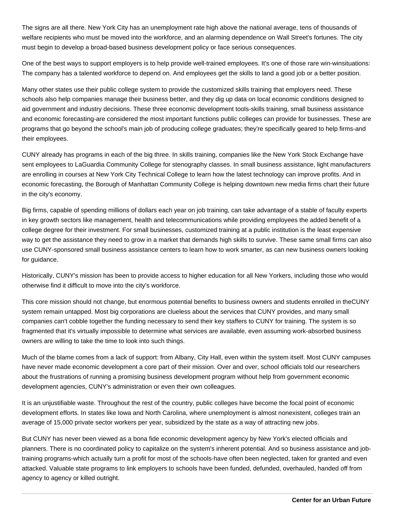The signs are all there. New York City has an unemployment rate high above the national average, tens of thousands of welfare recipients who must be moved into the workforce, and an alarming dependence on Wall Street's fortunes. The city must begin to develop a broad-based business development policy or face serious consequences.

One of the best ways to support employers is to help provide well-trained employees. It's one of those rare win-winsituations: The company has a talented workforce to depend on. And employees get the skills to land a good job or a better position.

Many other states use their public college system to provide the customized skills training that employers need. These schools also help companies manage their business better, and they dig up data on local economic conditions designed to aid government and industry decisions. These three economic development tools-skills training, small business assistance and economic forecasting-are considered the most important functions public colleges can provide for businesses. These are programs that go beyond the school's main job of producing college graduates; they're specifically geared to help firms-and their employees.

CUNY already has programs in each of the big three. In skills training, companies like the New York Stock Exchange have sent employees to LaGuardia Community College for stenography classes. In small business assistance, light manufacturers are enrolling in courses at New York City Technical College to learn how the latest technology can improve profits. And in economic forecasting, the Borough of Manhattan Community College is helping downtown new media firms chart their future in the city's economy.

Big firms, capable of spending millions of dollars each year on job training, can take advantage of a stable of faculty experts in key growth sectors like management, health and telecommunications while providing employees the added benefit of a college degree for their investment. For small businesses, customized training at a public institution is the least expensive way to get the assistance they need to grow in a market that demands high skills to survive. These same small firms can also use CUNY-sponsored small business assistance centers to learn how to work smarter, as can new business owners looking for guidance.

Historically, CUNY's mission has been to provide access to higher education for all New Yorkers, including those who would otherwise find it difficult to move into the city's workforce.

This core mission should not change, but enormous potential benefits to business owners and students enrolled in the CUNY system remain untapped. Most big corporations are clueless about the services that CUNY provides, and many small companies can't cobble together the funding necessary to send their key staffers to CUNY for training. The system is so fragmented that it's virtually impossible to determine what services are available, even assuming work-absorbed business owners are willing to take the time to look into such things.

Much of the blame comes from a lack of support: from Albany, City Hall, even within the system itself. Most CUNY campuses have never made economic development a core part of their mission. Over and over, school officials told our researchers about the frustrations of running a promising business development program without help from government economic development agencies, CUNY's administration or even their own colleagues.

It is an unjustifiable waste. Throughout the rest of the country, public colleges have become the focal point of economic development efforts. In states like Iowa and North Carolina, where unemployment is almost nonexistent, colleges train an average of 15,000 private sector workers per year, subsidized by the state as a way of attracting new jobs.

But CUNY has never been viewed as a bona fide economic development agency by New York's elected officials and planners. There is no coordinated policy to capitalize on the system's inherent potential. And so business assistance and jobtraining programs-which actually turn a profit for most of the schools-have often been neglected, taken for granted and even attacked. Valuable state programs to link employers to schools have been funded, defunded, overhauled, handed off from agency to agency or killed outright.